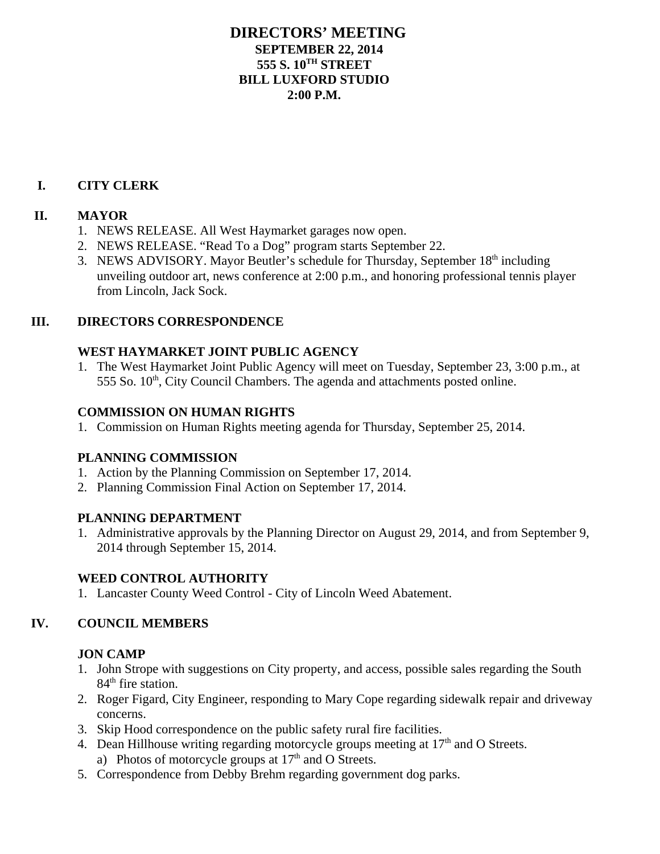### **DIRECTORS' MEETING SEPTEMBER 22, 2014 555 S. 10TH STREET BILL LUXFORD STUDIO 2:00 P.M.**

### **I. CITY CLERK**

#### **II. MAYOR**

- 1. NEWS RELEASE. All West Haymarket garages now open.
- 2. NEWS RELEASE. "Read To a Dog" program starts September 22.
- 3. NEWS ADVISORY. Mayor Beutler's schedule for Thursday, September 18<sup>th</sup> including unveiling outdoor art, news conference at 2:00 p.m., and honoring professional tennis player from Lincoln, Jack Sock.

### **III. DIRECTORS CORRESPONDENCE**

## **WEST HAYMARKET JOINT PUBLIC AGENCY**

1. The West Haymarket Joint Public Agency will meet on Tuesday, September 23, 3:00 p.m., at  $555$  So.  $10<sup>th</sup>$ , City Council Chambers. The agenda and attachments posted online.

### **COMMISSION ON HUMAN RIGHTS**

1. Commission on Human Rights meeting agenda for Thursday, September 25, 2014.

## **PLANNING COMMISSION**

- 1. Action by the Planning Commission on September 17, 2014.
- 2. Planning Commission Final Action on September 17, 2014.

#### **PLANNING DEPARTMENT**

1. Administrative approvals by the Planning Director on August 29, 2014, and from September 9, 2014 through September 15, 2014.

## **WEED CONTROL AUTHORITY**

1. Lancaster County Weed Control - City of Lincoln Weed Abatement.

## **IV. COUNCIL MEMBERS**

## **JON CAMP**

- 1. John Strope with suggestions on City property, and access, possible sales regarding the South  $84<sup>th</sup>$  fire station.
- 2. Roger Figard, City Engineer, responding to Mary Cope regarding sidewalk repair and driveway concerns.
- 3. Skip Hood correspondence on the public safety rural fire facilities.
- 4. Dean Hillhouse writing regarding motorcycle groups meeting at  $17<sup>th</sup>$  and O Streets. a) Photos of motorcycle groups at  $17<sup>th</sup>$  and O Streets.
- 5. Correspondence from Debby Brehm regarding government dog parks.